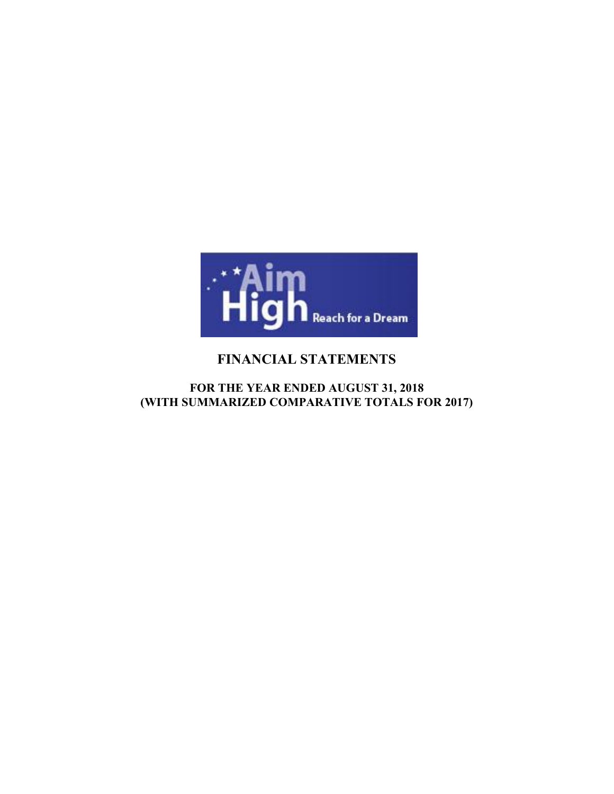

# **FINANCIAL STATEMENTS**

# **FOR THE YEAR ENDED AUGUST 31, 2018 (WITH SUMMARIZED COMPARATIVE TOTALS FOR 2017)**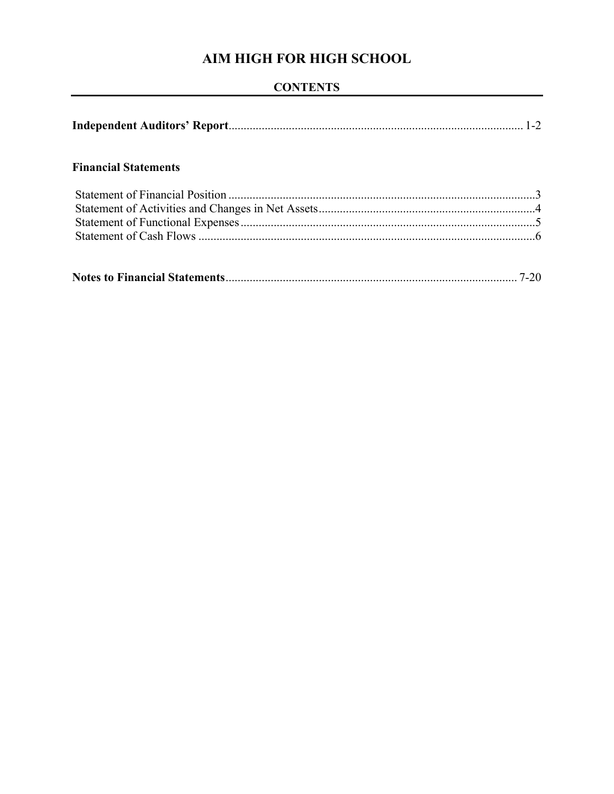# **CONTENTS**

|--|--|--|--|

# **Financial Statements**

|--|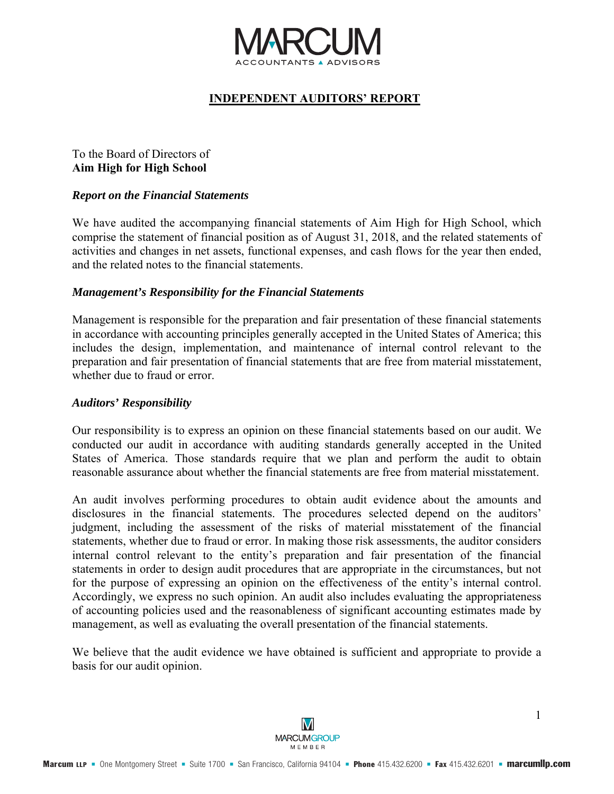

# **INDEPENDENT AUDITORS' REPORT**

## To the Board of Directors of **Aim High for High School**

### *Report on the Financial Statements*

We have audited the accompanying financial statements of Aim High for High School, which comprise the statement of financial position as of August 31, 2018, and the related statements of activities and changes in net assets, functional expenses, and cash flows for the year then ended, and the related notes to the financial statements.

#### *Management's Responsibility for the Financial Statements*

Management is responsible for the preparation and fair presentation of these financial statements in accordance with accounting principles generally accepted in the United States of America; this includes the design, implementation, and maintenance of internal control relevant to the preparation and fair presentation of financial statements that are free from material misstatement, whether due to fraud or error.

#### *Auditors' Responsibility*

Our responsibility is to express an opinion on these financial statements based on our audit. We conducted our audit in accordance with auditing standards generally accepted in the United States of America. Those standards require that we plan and perform the audit to obtain reasonable assurance about whether the financial statements are free from material misstatement.

An audit involves performing procedures to obtain audit evidence about the amounts and disclosures in the financial statements. The procedures selected depend on the auditors' judgment, including the assessment of the risks of material misstatement of the financial statements, whether due to fraud or error. In making those risk assessments, the auditor considers internal control relevant to the entity's preparation and fair presentation of the financial statements in order to design audit procedures that are appropriate in the circumstances, but not for the purpose of expressing an opinion on the effectiveness of the entity's internal control. Accordingly, we express no such opinion. An audit also includes evaluating the appropriateness of accounting policies used and the reasonableness of significant accounting estimates made by management, as well as evaluating the overall presentation of the financial statements.

We believe that the audit evidence we have obtained is sufficient and appropriate to provide a basis for our audit opinion.

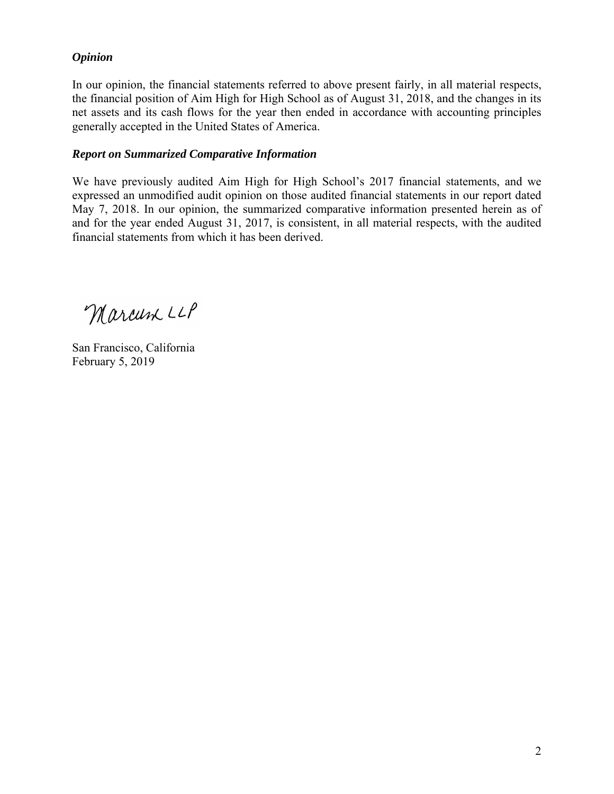# *Opinion*

In our opinion, the financial statements referred to above present fairly, in all material respects, the financial position of Aim High for High School as of August 31, 2018, and the changes in its net assets and its cash flows for the year then ended in accordance with accounting principles generally accepted in the United States of America.

## *Report on Summarized Comparative Information*

We have previously audited Aim High for High School's 2017 financial statements, and we expressed an unmodified audit opinion on those audited financial statements in our report dated May 7, 2018. In our opinion, the summarized comparative information presented herein as of and for the year ended August 31, 2017, is consistent, in all material respects, with the audited financial statements from which it has been derived.

Marcum LLP

San Francisco, California February 5, 2019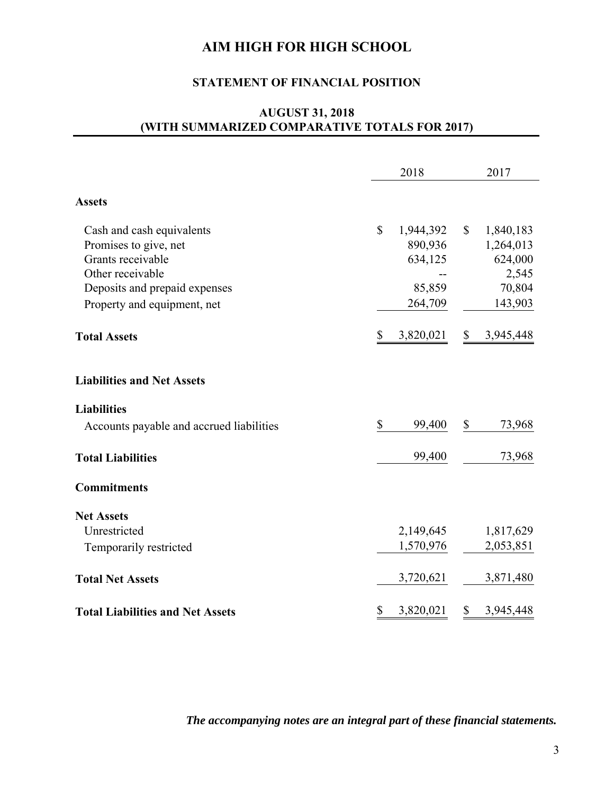## **STATEMENT OF FINANCIAL POSITION**

# **AUGUST 31, 2018 (WITH SUMMARIZED COMPARATIVE TOTALS FOR 2017)**

|                                          |              | 2018      |                | 2017              |
|------------------------------------------|--------------|-----------|----------------|-------------------|
| <b>Assets</b>                            |              |           |                |                   |
| Cash and cash equivalents                | $\mathbb{S}$ | 1,944,392 | $\mathbb{S}$   | 1,840,183         |
| Promises to give, net                    |              | 890,936   |                | 1,264,013         |
| Grants receivable                        |              | 634,125   |                | 624,000           |
| Other receivable                         |              | 85,859    |                | 2,545             |
| Deposits and prepaid expenses            |              | 264,709   |                | 70,804<br>143,903 |
| Property and equipment, net              |              |           |                |                   |
| <b>Total Assets</b>                      | \$           | 3,820,021 | $\mathbb{S}^-$ | 3,945,448         |
| <b>Liabilities and Net Assets</b>        |              |           |                |                   |
| <b>Liabilities</b>                       |              |           |                |                   |
| Accounts payable and accrued liabilities | \$           | 99,400    | \$             | 73,968            |
| <b>Total Liabilities</b>                 |              | 99,400    |                | 73,968            |
| <b>Commitments</b>                       |              |           |                |                   |
| <b>Net Assets</b>                        |              |           |                |                   |
| Unrestricted                             |              | 2,149,645 |                | 1,817,629         |
| Temporarily restricted                   |              | 1,570,976 |                | 2,053,851         |
| <b>Total Net Assets</b>                  |              | 3,720,621 |                | 3,871,480         |
| <b>Total Liabilities and Net Assets</b>  | \$           | 3,820,021 | \$             | 3,945,448         |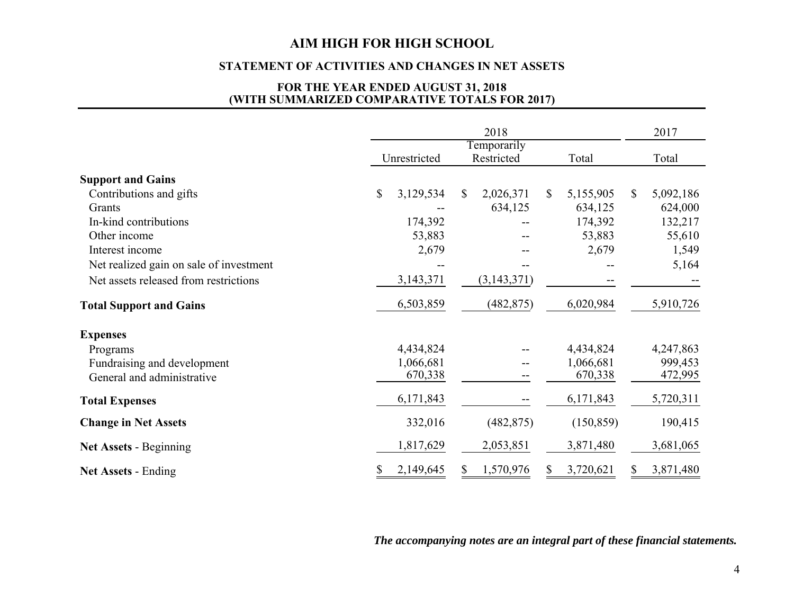#### **STATEMENT OF ACTIVITIES AND CHANGES IN NET ASSETS**

#### **FOR THE YEAR ENDED AUGUST 31, 2018 (WITH SUMMARIZED COMPARATIVE TOTALS FOR 2017)**

|                                         |              |              |    | 2018                      |    |            | 2017            |
|-----------------------------------------|--------------|--------------|----|---------------------------|----|------------|-----------------|
|                                         |              | Unrestricted |    | Temporarily<br>Restricted |    | Total      | Total           |
| <b>Support and Gains</b>                |              |              |    |                           |    |            |                 |
| Contributions and gifts                 | $\mathbb{S}$ | 3,129,534    | S. | 2,026,371                 | \$ | 5,155,905  | \$<br>5,092,186 |
| Grants                                  |              |              |    | 634,125                   |    | 634,125    | 624,000         |
| In-kind contributions                   |              | 174,392      |    |                           |    | 174,392    | 132,217         |
| Other income                            |              | 53,883       |    |                           |    | 53,883     | 55,610          |
| Interest income                         |              | 2,679        |    |                           |    | 2,679      | 1,549           |
| Net realized gain on sale of investment |              |              |    |                           |    |            | 5,164           |
| Net assets released from restrictions   |              | 3, 143, 371  |    | (3, 143, 371)             |    |            |                 |
| <b>Total Support and Gains</b>          |              | 6,503,859    |    | (482, 875)                |    | 6,020,984  | 5,910,726       |
| <b>Expenses</b>                         |              |              |    |                           |    |            |                 |
| Programs                                |              | 4,434,824    |    |                           |    | 4,434,824  | 4,247,863       |
| Fundraising and development             |              | 1,066,681    |    |                           |    | 1,066,681  | 999,453         |
| General and administrative              |              | 670,338      |    |                           |    | 670,338    | 472,995         |
| <b>Total Expenses</b>                   |              | 6,171,843    |    |                           |    | 6,171,843  | 5,720,311       |
| <b>Change in Net Assets</b>             |              | 332,016      |    | (482, 875)                |    | (150, 859) | 190,415         |
| <b>Net Assets - Beginning</b>           |              | 1,817,629    |    | 2,053,851                 |    | 3,871,480  | 3,681,065       |
| Net Assets - Ending                     |              | 2,149,645    | S. | 1,570,976                 | S  | 3,720,621  | \$<br>3,871,480 |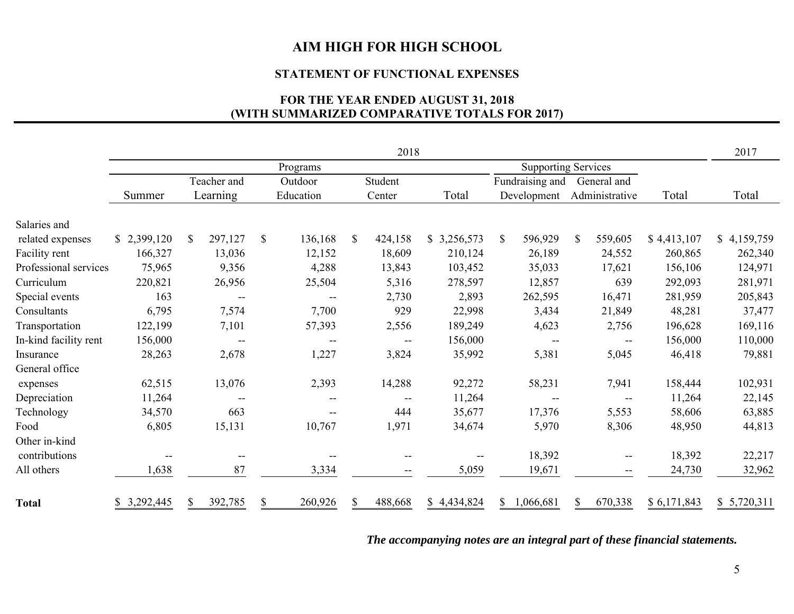#### **STATEMENT OF FUNCTIONAL EXPENSES**

# **FOR THE YEAR ENDED AUGUST 31, 2018 (WITH SUMMARIZED COMPARATIVE TOTALS FOR 2017)**

|                       |             |                          |                                       |              | 2018                     |             |              |                            |              |                                       |             | 2017        |
|-----------------------|-------------|--------------------------|---------------------------------------|--------------|--------------------------|-------------|--------------|----------------------------|--------------|---------------------------------------|-------------|-------------|
|                       |             |                          | Programs                              |              |                          |             |              | <b>Supporting Services</b> |              |                                       |             |             |
|                       |             | Teacher and              | Outdoor                               |              | Student                  |             |              | Fundraising and            |              | General and                           |             |             |
|                       | Summer      | Learning                 | Education                             |              | Center                   | Total       |              | Development                |              | Administrative                        | Total       | Total       |
| Salaries and          |             |                          |                                       |              |                          |             |              |                            |              |                                       |             |             |
| related expenses      | \$2,399,120 | 297,127<br>$\mathbb{S}$  | $\mathbb{S}$<br>136,168               | \$           | 424,158                  | \$3,256,573 | $\mathbb{S}$ | 596,929                    | $\mathbb{S}$ | 559,605                               | \$4,413,107 | \$4,159,759 |
| Facility rent         | 166,327     | 13,036                   | 12,152                                |              | 18,609                   | 210,124     |              | 26,189                     |              | 24,552                                | 260,865     | 262,340     |
| Professional services | 75,965      | 9,356                    | 4,288                                 |              | 13,843                   | 103,452     |              | 35,033                     |              | 17,621                                | 156,106     | 124,971     |
| Curriculum            | 220,821     | 26,956                   | 25,504                                |              | 5,316                    | 278,597     |              | 12,857                     |              | 639                                   | 292,093     | 281,971     |
| Special events        | 163         | $\overline{\phantom{m}}$ |                                       |              | 2,730                    | 2,893       |              | 262,595                    |              | 16,471                                | 281,959     | 205,843     |
| Consultants           | 6,795       | 7,574                    | 7,700                                 |              | 929                      | 22,998      |              | 3,434                      |              | 21,849                                | 48,281      | 37,477      |
| Transportation        | 122,199     | 7,101                    | 57,393                                |              | 2,556                    | 189,249     |              | 4,623                      |              | 2,756                                 | 196,628     | 169,116     |
| In-kind facility rent | 156,000     | $-$                      |                                       |              | $\overline{\phantom{a}}$ | 156,000     |              | $-$                        |              | $\qquad \qquad -$                     | 156,000     | 110,000     |
| Insurance             | 28,263      | 2,678                    | 1,227                                 |              | 3,824                    | 35,992      |              | 5,381                      |              | 5,045                                 | 46,418      | 79,881      |
| General office        |             |                          |                                       |              |                          |             |              |                            |              |                                       |             |             |
| expenses              | 62,515      | 13,076                   | 2,393                                 |              | 14,288                   | 92,272      |              | 58,231                     |              | 7,941                                 | 158,444     | 102,931     |
| Depreciation          | 11,264      | $\overline{\phantom{m}}$ | $\hspace{0.05cm}$ – $\hspace{0.05cm}$ |              | $\overline{\phantom{a}}$ | 11,264      |              | $\overline{\phantom{a}}$   |              | $-\!$ $-$                             | 11,264      | 22,145      |
| Technology            | 34,570      | 663                      | $\hspace{0.05cm}$ – $\hspace{0.05cm}$ |              | 444                      | 35,677      |              | 17,376                     |              | 5,553                                 | 58,606      | 63,885      |
| Food                  | 6,805       | 15,131                   | 10,767                                |              | 1,971                    | 34,674      |              | 5,970                      |              | 8,306                                 | 48,950      | 44,813      |
| Other in-kind         |             |                          |                                       |              |                          |             |              |                            |              |                                       |             |             |
| contributions         |             | --                       |                                       |              |                          |             |              | 18,392                     |              | $\hspace{0.05cm}$ – $\hspace{0.05cm}$ | 18,392      | 22,217      |
| All others            | 1,638       | 87                       | 3,334                                 |              |                          | 5,059       |              | 19,671                     |              | $\hspace{0.05cm}$ – $\hspace{0.05cm}$ | 24,730      | 32,962      |
| <b>Total</b>          | 3,292,445   | \$<br>392,785            | \$<br>260,926                         | $\mathbb{S}$ | 488,668                  | \$4,434,824 | \$           | 1,066,681                  | \$           | 670,338                               | \$6,171,843 | \$5,720,311 |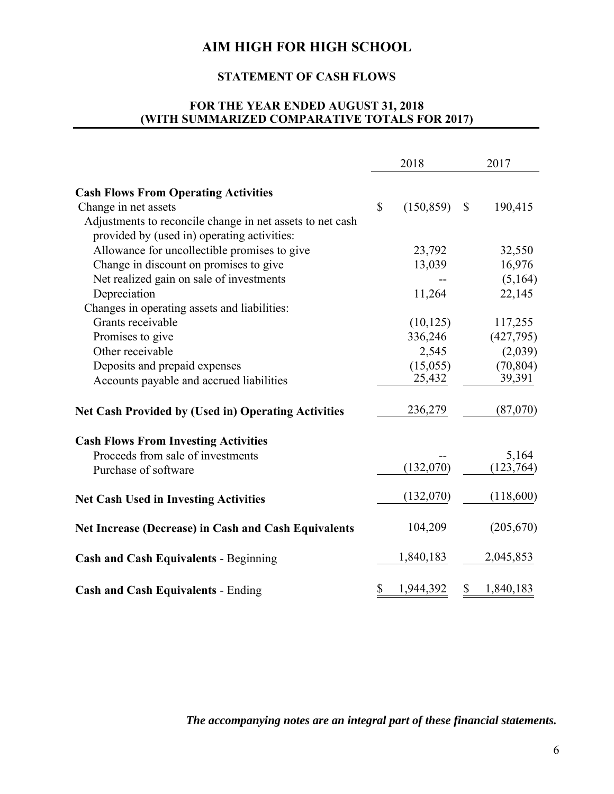# **STATEMENT OF CASH FLOWS**

# **FOR THE YEAR ENDED AUGUST 31, 2018 (WITH SUMMARIZED COMPARATIVE TOTALS FOR 2017)**

|                                                             | 2018             |              | 2017       |
|-------------------------------------------------------------|------------------|--------------|------------|
| <b>Cash Flows From Operating Activities</b>                 |                  |              |            |
| Change in net assets                                        | \$<br>(150, 859) | $\mathbb{S}$ | 190,415    |
| Adjustments to reconcile change in net assets to net cash   |                  |              |            |
| provided by (used in) operating activities:                 |                  |              |            |
| Allowance for uncollectible promises to give                | 23,792           |              | 32,550     |
| Change in discount on promises to give                      | 13,039           |              | 16,976     |
| Net realized gain on sale of investments                    |                  |              | (5,164)    |
| Depreciation                                                | 11,264           |              | 22,145     |
| Changes in operating assets and liabilities:                |                  |              |            |
| Grants receivable                                           | (10, 125)        |              | 117,255    |
| Promises to give                                            | 336,246          |              | (427,795)  |
| Other receivable                                            | 2,545            |              | (2,039)    |
| Deposits and prepaid expenses                               | (15,055)         |              | (70, 804)  |
| Accounts payable and accrued liabilities                    | 25,432           |              | 39,391     |
| <b>Net Cash Provided by (Used in) Operating Activities</b>  | 236,279          |              | (87,070)   |
| <b>Cash Flows From Investing Activities</b>                 |                  |              |            |
| Proceeds from sale of investments                           |                  |              | 5,164      |
| Purchase of software                                        | (132,070)        |              | (123, 764) |
| <b>Net Cash Used in Investing Activities</b>                | (132,070)        |              | (118,600)  |
| <b>Net Increase (Decrease) in Cash and Cash Equivalents</b> | 104,209          |              | (205,670)  |
| <b>Cash and Cash Equivalents - Beginning</b>                | 1,840,183        |              | 2,045,853  |
| <b>Cash and Cash Equivalents - Ending</b>                   | \$<br>1,944,392  | $\mathbb{S}$ | 1,840,183  |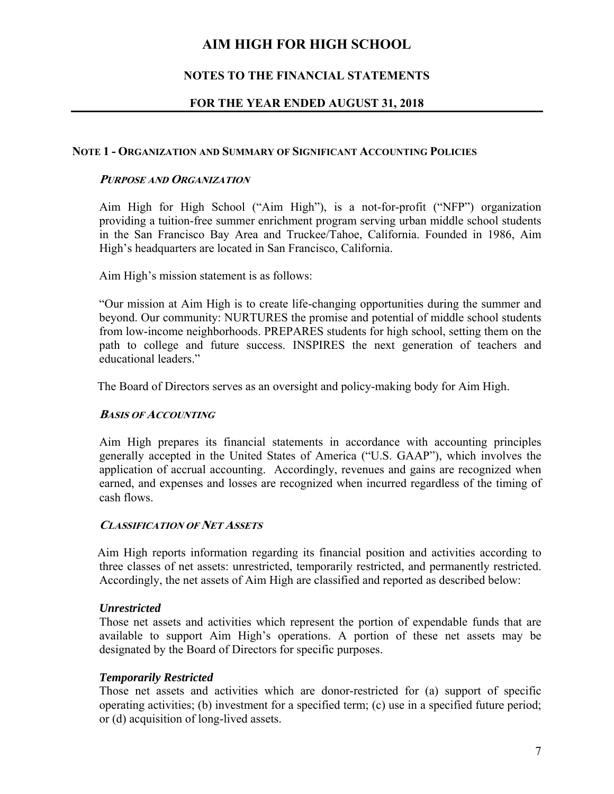# **NOTES TO THE FINANCIAL STATEMENTS**

# **FOR THE YEAR ENDED AUGUST 31, 2018**

## **NOTE 1 - ORGANIZATION AND SUMMARY OF SIGNIFICANT ACCOUNTING POLICIES**

### **PURPOSE AND ORGANIZATION**

 Aim High for High School ("Aim High"), is a not-for-profit ("NFP") organization providing a tuition-free summer enrichment program serving urban middle school students in the San Francisco Bay Area and Truckee/Tahoe, California. Founded in 1986, Aim High's headquarters are located in San Francisco, California.

Aim High's mission statement is as follows:

 "Our mission at Aim High is to create life-changing opportunities during the summer and beyond. Our community: NURTURES the promise and potential of middle school students from low-income neighborhoods. PREPARES students for high school, setting them on the path to college and future success. INSPIRES the next generation of teachers and educational leaders."

The Board of Directors serves as an oversight and policy-making body for Aim High.

#### **BASIS OF ACCOUNTING**

 Aim High prepares its financial statements in accordance with accounting principles generally accepted in the United States of America ("U.S. GAAP"), which involves the application of accrual accounting. Accordingly, revenues and gains are recognized when earned, and expenses and losses are recognized when incurred regardless of the timing of cash flows.

#### **CLASSIFICATION OF NET ASSETS**

 Aim High reports information regarding its financial position and activities according to three classes of net assets: unrestricted, temporarily restricted, and permanently restricted. Accordingly, the net assets of Aim High are classified and reported as described below:

## *Unrestricted*

Those net assets and activities which represent the portion of expendable funds that are available to support Aim High's operations. A portion of these net assets may be designated by the Board of Directors for specific purposes.

## *Temporarily Restricted*

Those net assets and activities which are donor-restricted for (a) support of specific operating activities; (b) investment for a specified term; (c) use in a specified future period; or (d) acquisition of long-lived assets.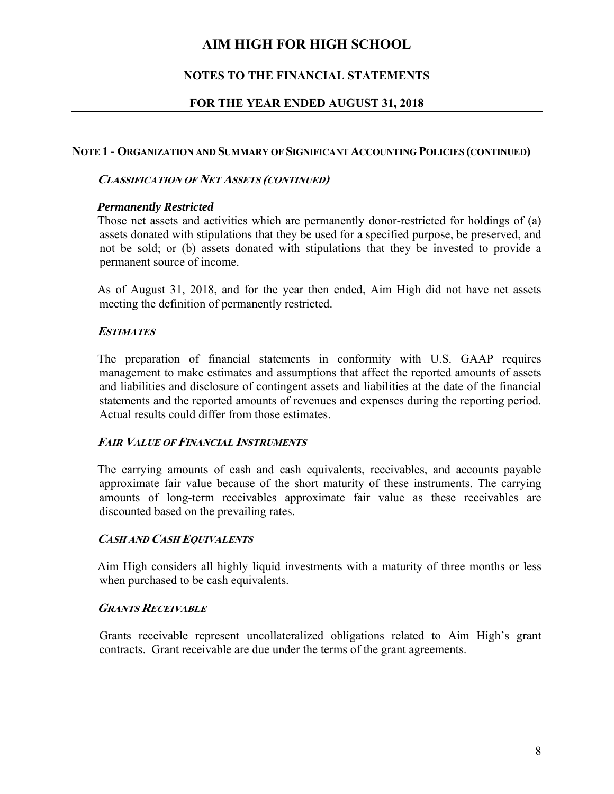# **NOTES TO THE FINANCIAL STATEMENTS**

# **FOR THE YEAR ENDED AUGUST 31, 2018**

## **NOTE 1 - ORGANIZATION AND SUMMARY OF SIGNIFICANT ACCOUNTING POLICIES (CONTINUED)**

## **CLASSIFICATION OF NET ASSETS (CONTINUED)**

## *Permanently Restricted*

Those net assets and activities which are permanently donor-restricted for holdings of (a) assets donated with stipulations that they be used for a specified purpose, be preserved, and not be sold; or (b) assets donated with stipulations that they be invested to provide a permanent source of income.

 As of August 31, 2018, and for the year then ended, Aim High did not have net assets meeting the definition of permanently restricted.

## **ESTIMATES**

 The preparation of financial statements in conformity with U.S. GAAP requires management to make estimates and assumptions that affect the reported amounts of assets and liabilities and disclosure of contingent assets and liabilities at the date of the financial statements and the reported amounts of revenues and expenses during the reporting period. Actual results could differ from those estimates.

## **FAIR VALUE OF FINANCIAL INSTRUMENTS**

 The carrying amounts of cash and cash equivalents, receivables, and accounts payable approximate fair value because of the short maturity of these instruments. The carrying amounts of long-term receivables approximate fair value as these receivables are discounted based on the prevailing rates.

## **CASH AND CASH EQUIVALENTS**

 Aim High considers all highly liquid investments with a maturity of three months or less when purchased to be cash equivalents.

## **GRANTS RECEIVABLE**

 Grants receivable represent uncollateralized obligations related to Aim High's grant contracts. Grant receivable are due under the terms of the grant agreements.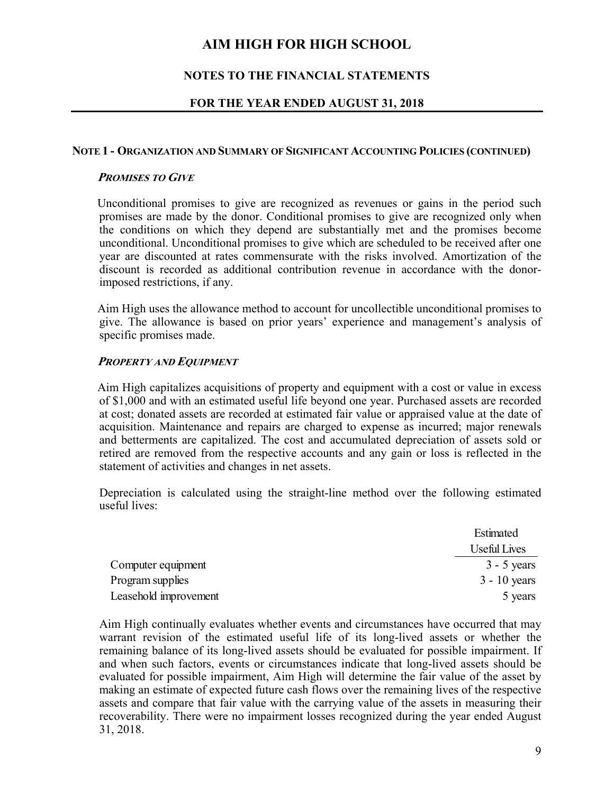# **NOTES TO THE FINANCIAL STATEMENTS**

## **FOR THE YEAR ENDED AUGUST 31, 2018**

#### **NOTE 1 - ORGANIZATION AND SUMMARY OF SIGNIFICANT ACCOUNTING POLICIES (CONTINUED)**

#### **PROMISES TO GIVE**

 Unconditional promises to give are recognized as revenues or gains in the period such promises are made by the donor. Conditional promises to give are recognized only when the conditions on which they depend are substantially met and the promises become unconditional. Unconditional promises to give which are scheduled to be received after one year are discounted at rates commensurate with the risks involved. Amortization of the discount is recorded as additional contribution revenue in accordance with the donorimposed restrictions, if any.

 Aim High uses the allowance method to account for uncollectible unconditional promises to give. The allowance is based on prior years' experience and management's analysis of specific promises made.

#### **PROPERTY AND EQUIPMENT**

 Aim High capitalizes acquisitions of property and equipment with a cost or value in excess of \$1,000 and with an estimated useful life beyond one year. Purchased assets are recorded at cost; donated assets are recorded at estimated fair value or appraised value at the date of acquisition. Maintenance and repairs are charged to expense as incurred; major renewals and betterments are capitalized. The cost and accumulated depreciation of assets sold or retired are removed from the respective accounts and any gain or loss is reflected in the statement of activities and changes in net assets.

Depreciation is calculated using the straight-line method over the following estimated useful lives:

|                       | Estimated      |
|-----------------------|----------------|
|                       | Useful Lives   |
| Computer equipment    | $3 - 5$ years  |
| Program supplies      | $3 - 10$ years |
| Leasehold improvement | 5 years        |

Aim High continually evaluates whether events and circumstances have occurred that may warrant revision of the estimated useful life of its long-lived assets or whether the remaining balance of its long-lived assets should be evaluated for possible impairment. If and when such factors, events or circumstances indicate that long-lived assets should be evaluated for possible impairment, Aim High will determine the fair value of the asset by making an estimate of expected future cash flows over the remaining lives of the respective assets and compare that fair value with the carrying value of the assets in measuring their recoverability. There were no impairment losses recognized during the year ended August 31, 2018.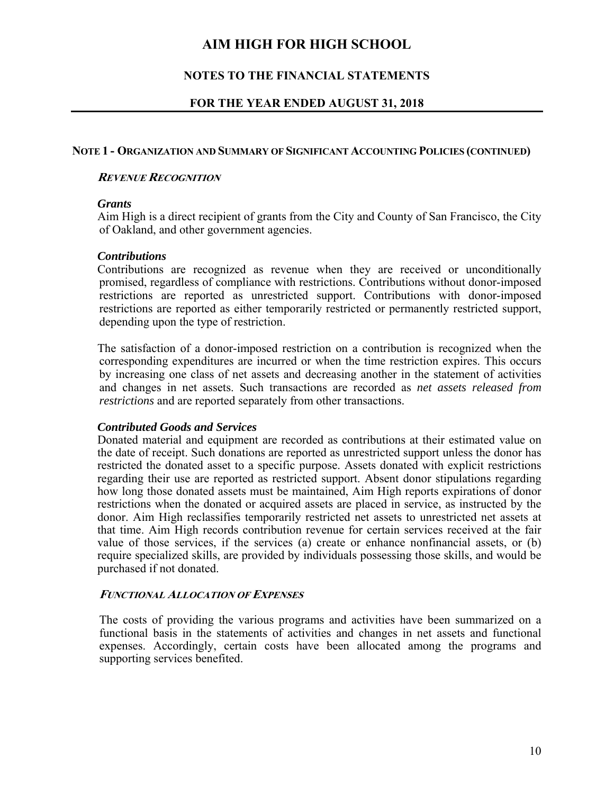# **NOTES TO THE FINANCIAL STATEMENTS**

## **FOR THE YEAR ENDED AUGUST 31, 2018**

#### **NOTE 1 - ORGANIZATION AND SUMMARY OF SIGNIFICANT ACCOUNTING POLICIES (CONTINUED)**

### **REVENUE RECOGNITION**

#### *Grants*

Aim High is a direct recipient of grants from the City and County of San Francisco, the City of Oakland, and other government agencies.

#### *Contributions*

 Contributions are recognized as revenue when they are received or unconditionally promised, regardless of compliance with restrictions. Contributions without donor-imposed restrictions are reported as unrestricted support. Contributions with donor-imposed restrictions are reported as either temporarily restricted or permanently restricted support, depending upon the type of restriction.

 The satisfaction of a donor-imposed restriction on a contribution is recognized when the corresponding expenditures are incurred or when the time restriction expires. This occurs by increasing one class of net assets and decreasing another in the statement of activities and changes in net assets. Such transactions are recorded as *net assets released from restrictions* and are reported separately from other transactions.

#### *Contributed Goods and Services*

 Donated material and equipment are recorded as contributions at their estimated value on the date of receipt. Such donations are reported as unrestricted support unless the donor has restricted the donated asset to a specific purpose. Assets donated with explicit restrictions regarding their use are reported as restricted support. Absent donor stipulations regarding how long those donated assets must be maintained, Aim High reports expirations of donor restrictions when the donated or acquired assets are placed in service, as instructed by the donor. Aim High reclassifies temporarily restricted net assets to unrestricted net assets at that time. Aim High records contribution revenue for certain services received at the fair value of those services, if the services (a) create or enhance nonfinancial assets, or (b) require specialized skills, are provided by individuals possessing those skills, and would be purchased if not donated.

#### **FUNCTIONAL ALLOCATION OF EXPENSES**

The costs of providing the various programs and activities have been summarized on a functional basis in the statements of activities and changes in net assets and functional expenses. Accordingly, certain costs have been allocated among the programs and supporting services benefited.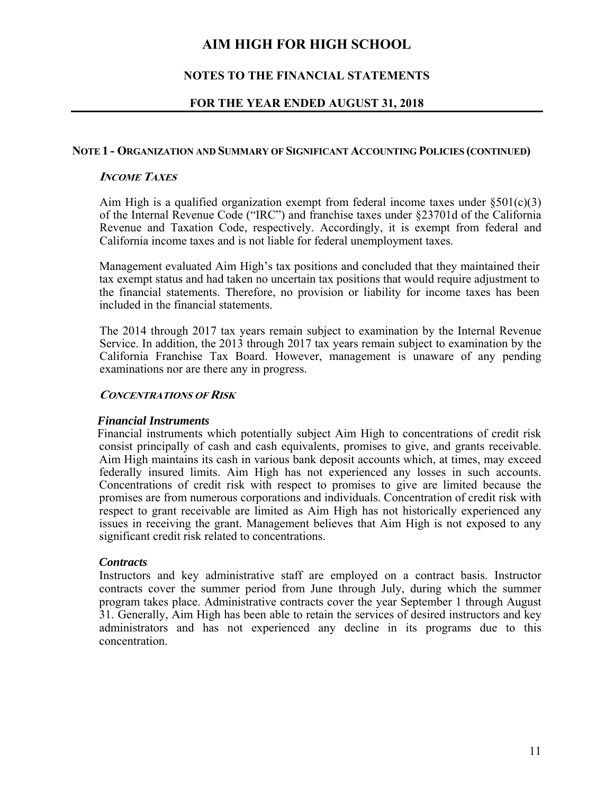# **NOTES TO THE FINANCIAL STATEMENTS**

## **FOR THE YEAR ENDED AUGUST 31, 2018**

#### **NOTE 1 - ORGANIZATION AND SUMMARY OF SIGNIFICANT ACCOUNTING POLICIES (CONTINUED)**

### **INCOME TAXES**

Aim High is a qualified organization exempt from federal income taxes under  $\S501(c)(3)$ of the Internal Revenue Code ("IRC") and franchise taxes under §23701d of the California Revenue and Taxation Code, respectively. Accordingly, it is exempt from federal and California income taxes and is not liable for federal unemployment taxes.

Management evaluated Aim High's tax positions and concluded that they maintained their tax exempt status and had taken no uncertain tax positions that would require adjustment to the financial statements. Therefore, no provision or liability for income taxes has been included in the financial statements.

The 2014 through 2017 tax years remain subject to examination by the Internal Revenue Service. In addition, the 2013 through 2017 tax years remain subject to examination by the California Franchise Tax Board. However, management is unaware of any pending examinations nor are there any in progress.

#### **CONCENTRATIONS OF RISK**

#### *Financial Instruments*

 Financial instruments which potentially subject Aim High to concentrations of credit risk consist principally of cash and cash equivalents, promises to give, and grants receivable. Aim High maintains its cash in various bank deposit accounts which, at times, may exceed federally insured limits. Aim High has not experienced any losses in such accounts. Concentrations of credit risk with respect to promises to give are limited because the promises are from numerous corporations and individuals. Concentration of credit risk with respect to grant receivable are limited as Aim High has not historically experienced any issues in receiving the grant. Management believes that Aim High is not exposed to any significant credit risk related to concentrations.

## *Contracts*

 Instructors and key administrative staff are employed on a contract basis. Instructor contracts cover the summer period from June through July, during which the summer program takes place. Administrative contracts cover the year September 1 through August 31. Generally, Aim High has been able to retain the services of desired instructors and key administrators and has not experienced any decline in its programs due to this concentration.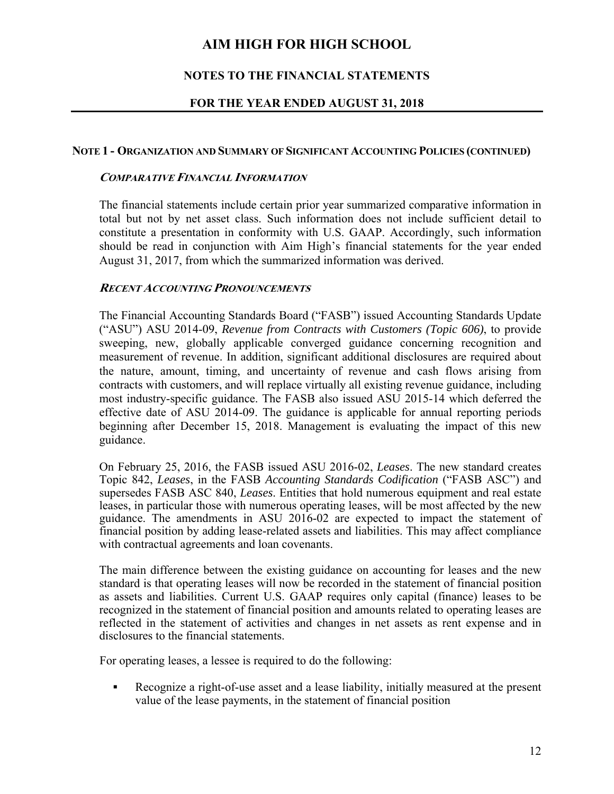# **NOTES TO THE FINANCIAL STATEMENTS**

## **FOR THE YEAR ENDED AUGUST 31, 2018**

#### **NOTE 1 - ORGANIZATION AND SUMMARY OF SIGNIFICANT ACCOUNTING POLICIES (CONTINUED)**

#### **COMPARATIVE FINANCIAL INFORMATION**

 The financial statements include certain prior year summarized comparative information in total but not by net asset class. Such information does not include sufficient detail to constitute a presentation in conformity with U.S. GAAP. Accordingly, such information should be read in conjunction with Aim High's financial statements for the year ended August 31, 2017, from which the summarized information was derived.

## **RECENT ACCOUNTING PRONOUNCEMENTS**

 The Financial Accounting Standards Board ("FASB") issued Accounting Standards Update ("ASU") ASU 2014-09, *Revenue from Contracts with Customers (Topic 606)*, to provide sweeping, new, globally applicable converged guidance concerning recognition and measurement of revenue. In addition, significant additional disclosures are required about the nature, amount, timing, and uncertainty of revenue and cash flows arising from contracts with customers, and will replace virtually all existing revenue guidance, including most industry-specific guidance. The FASB also issued ASU 2015-14 which deferred the effective date of ASU 2014-09. The guidance is applicable for annual reporting periods beginning after December 15, 2018. Management is evaluating the impact of this new guidance.

On February 25, 2016, the FASB issued ASU 2016-02, *Leases*. The new standard creates Topic 842, *Leases*, in the FASB *Accounting Standards Codification* ("FASB ASC") and supersedes FASB ASC 840, *Leases*. Entities that hold numerous equipment and real estate leases, in particular those with numerous operating leases, will be most affected by the new guidance. The amendments in ASU 2016-02 are expected to impact the statement of financial position by adding lease-related assets and liabilities. This may affect compliance with contractual agreements and loan covenants.

The main difference between the existing guidance on accounting for leases and the new standard is that operating leases will now be recorded in the statement of financial position as assets and liabilities. Current U.S. GAAP requires only capital (finance) leases to be recognized in the statement of financial position and amounts related to operating leases are reflected in the statement of activities and changes in net assets as rent expense and in disclosures to the financial statements.

For operating leases, a lessee is required to do the following:

 Recognize a right-of-use asset and a lease liability, initially measured at the present value of the lease payments, in the statement of financial position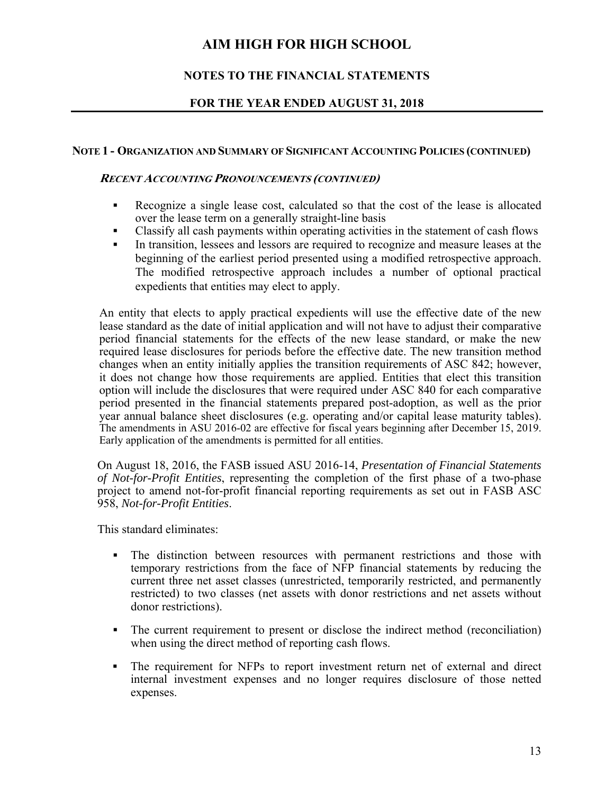# **NOTES TO THE FINANCIAL STATEMENTS**

# **FOR THE YEAR ENDED AUGUST 31, 2018**

## **NOTE 1 - ORGANIZATION AND SUMMARY OF SIGNIFICANT ACCOUNTING POLICIES (CONTINUED)**

#### **RECENT ACCOUNTING PRONOUNCEMENTS (CONTINUED)**

- Recognize a single lease cost, calculated so that the cost of the lease is allocated over the lease term on a generally straight-line basis
- Classify all cash payments within operating activities in the statement of cash flows
- In transition, lessees and lessors are required to recognize and measure leases at the beginning of the earliest period presented using a modified retrospective approach. The modified retrospective approach includes a number of optional practical expedients that entities may elect to apply.

An entity that elects to apply practical expedients will use the effective date of the new lease standard as the date of initial application and will not have to adjust their comparative period financial statements for the effects of the new lease standard, or make the new required lease disclosures for periods before the effective date. The new transition method changes when an entity initially applies the transition requirements of ASC 842; however, it does not change how those requirements are applied. Entities that elect this transition option will include the disclosures that were required under ASC 840 for each comparative period presented in the financial statements prepared post-adoption, as well as the prior year annual balance sheet disclosures (e.g. operating and/or capital lease maturity tables). The amendments in ASU 2016-02 are effective for fiscal years beginning after December 15, 2019. Early application of the amendments is permitted for all entities.

On August 18, 2016, the FASB issued ASU 2016-14, *Presentation of Financial Statements of Not-for-Profit Entities*, representing the completion of the first phase of a two-phase project to amend not-for-profit financial reporting requirements as set out in FASB ASC 958, *Not-for-Profit Entities*.

This standard eliminates:

- The distinction between resources with permanent restrictions and those with temporary restrictions from the face of NFP financial statements by reducing the current three net asset classes (unrestricted, temporarily restricted, and permanently restricted) to two classes (net assets with donor restrictions and net assets without donor restrictions).
- The current requirement to present or disclose the indirect method (reconciliation) when using the direct method of reporting cash flows.
- The requirement for NFPs to report investment return net of external and direct internal investment expenses and no longer requires disclosure of those netted expenses.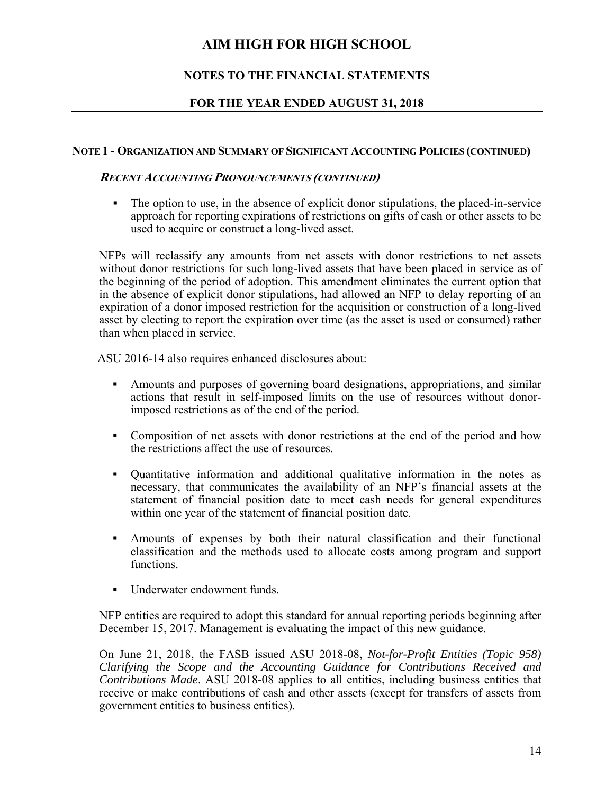# **NOTES TO THE FINANCIAL STATEMENTS**

# **FOR THE YEAR ENDED AUGUST 31, 2018**

## **NOTE 1 - ORGANIZATION AND SUMMARY OF SIGNIFICANT ACCOUNTING POLICIES (CONTINUED)**

## **RECENT ACCOUNTING PRONOUNCEMENTS (CONTINUED)**

The option to use, in the absence of explicit donor stipulations, the placed-in-service approach for reporting expirations of restrictions on gifts of cash or other assets to be used to acquire or construct a long-lived asset.

 NFPs will reclassify any amounts from net assets with donor restrictions to net assets without donor restrictions for such long-lived assets that have been placed in service as of the beginning of the period of adoption. This amendment eliminates the current option that in the absence of explicit donor stipulations, had allowed an NFP to delay reporting of an expiration of a donor imposed restriction for the acquisition or construction of a long-lived asset by electing to report the expiration over time (as the asset is used or consumed) rather than when placed in service.

ASU 2016-14 also requires enhanced disclosures about:

- Amounts and purposes of governing board designations, appropriations, and similar actions that result in self-imposed limits on the use of resources without donorimposed restrictions as of the end of the period.
- Composition of net assets with donor restrictions at the end of the period and how the restrictions affect the use of resources.
- Quantitative information and additional qualitative information in the notes as necessary, that communicates the availability of an NFP's financial assets at the statement of financial position date to meet cash needs for general expenditures within one year of the statement of financial position date.
- Amounts of expenses by both their natural classification and their functional classification and the methods used to allocate costs among program and support functions.
- Underwater endowment funds.

NFP entities are required to adopt this standard for annual reporting periods beginning after December 15, 2017. Management is evaluating the impact of this new guidance.

On June 21, 2018, the FASB issued ASU 2018-08, *Not-for-Profit Entities (Topic 958) Clarifying the Scope and the Accounting Guidance for Contributions Received and Contributions Made*. ASU 2018-08 applies to all entities, including business entities that receive or make contributions of cash and other assets (except for transfers of assets from government entities to business entities).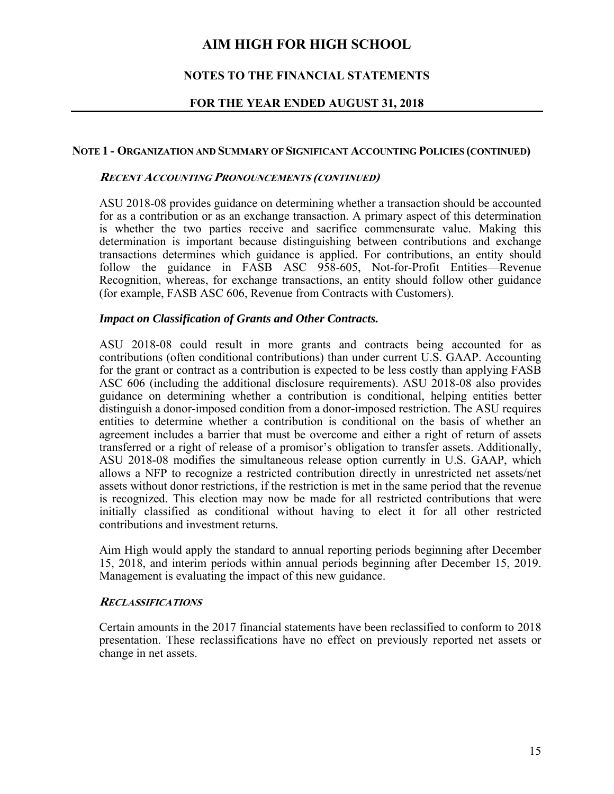# **NOTES TO THE FINANCIAL STATEMENTS**

## **FOR THE YEAR ENDED AUGUST 31, 2018**

#### **NOTE 1 - ORGANIZATION AND SUMMARY OF SIGNIFICANT ACCOUNTING POLICIES (CONTINUED)**

#### **RECENT ACCOUNTING PRONOUNCEMENTS (CONTINUED)**

ASU 2018-08 provides guidance on determining whether a transaction should be accounted for as a contribution or as an exchange transaction. A primary aspect of this determination is whether the two parties receive and sacrifice commensurate value. Making this determination is important because distinguishing between contributions and exchange transactions determines which guidance is applied. For contributions, an entity should follow the guidance in FASB ASC 958-605, Not-for-Profit Entities—Revenue Recognition, whereas, for exchange transactions, an entity should follow other guidance (for example, FASB ASC 606, Revenue from Contracts with Customers).

#### *Impact on Classification of Grants and Other Contracts.*

ASU 2018-08 could result in more grants and contracts being accounted for as contributions (often conditional contributions) than under current U.S. GAAP. Accounting for the grant or contract as a contribution is expected to be less costly than applying FASB ASC 606 (including the additional disclosure requirements). ASU 2018-08 also provides guidance on determining whether a contribution is conditional, helping entities better distinguish a donor-imposed condition from a donor-imposed restriction. The ASU requires entities to determine whether a contribution is conditional on the basis of whether an agreement includes a barrier that must be overcome and either a right of return of assets transferred or a right of release of a promisor's obligation to transfer assets. Additionally, ASU 2018-08 modifies the simultaneous release option currently in U.S. GAAP, which allows a NFP to recognize a restricted contribution directly in unrestricted net assets/net assets without donor restrictions, if the restriction is met in the same period that the revenue is recognized. This election may now be made for all restricted contributions that were initially classified as conditional without having to elect it for all other restricted contributions and investment returns.

Aim High would apply the standard to annual reporting periods beginning after December 15, 2018, and interim periods within annual periods beginning after December 15, 2019. Management is evaluating the impact of this new guidance.

#### **RECLASSIFICATIONS**

Certain amounts in the 2017 financial statements have been reclassified to conform to 2018 presentation. These reclassifications have no effect on previously reported net assets or change in net assets.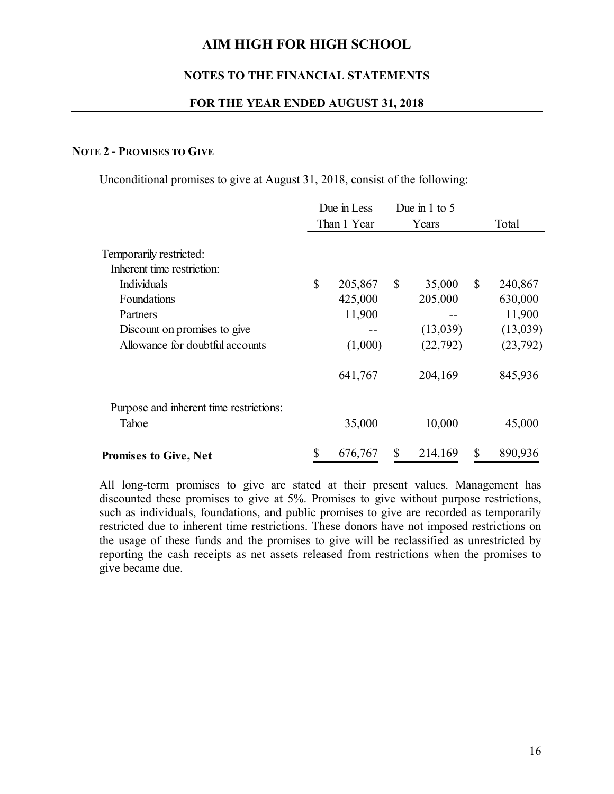## **NOTES TO THE FINANCIAL STATEMENTS**

#### **FOR THE YEAR ENDED AUGUST 31, 2018**

## **NOTE 2 - PROMISES TO GIVE**

Unconditional promises to give at August 31, 2018, consist of the following:

|                                                                                                                                                                    |    | Due in Less<br>Than 1 Year              |    | Due in $1$ to $5$                          |              |                                                      |
|--------------------------------------------------------------------------------------------------------------------------------------------------------------------|----|-----------------------------------------|----|--------------------------------------------|--------------|------------------------------------------------------|
|                                                                                                                                                                    |    |                                         |    | Years                                      |              | Total                                                |
| Temporarily restricted:<br>Inherent time restriction:<br>Individuals<br>Foundations<br>Partners<br>Discount on promises to give<br>Allowance for doubtful accounts | \$ | 205,867<br>425,000<br>11,900<br>(1,000) | \$ | 35,000<br>205,000<br>(13,039)<br>(22, 792) | $\mathbb{S}$ | 240,867<br>630,000<br>11,900<br>(13,039)<br>(23,792) |
|                                                                                                                                                                    |    | 641,767                                 |    | 204,169                                    |              | 845,936                                              |
| Purpose and inherent time restrictions:<br>Tahoe                                                                                                                   |    | 35,000                                  |    | 10,000                                     |              | 45,000                                               |
| <b>Promises to Give, Net</b>                                                                                                                                       | \$ | 676,767                                 | \$ | 214,169                                    | \$           | 890,936                                              |

 All long-term promises to give are stated at their present values. Management has discounted these promises to give at 5%. Promises to give without purpose restrictions, such as individuals, foundations, and public promises to give are recorded as temporarily restricted due to inherent time restrictions. These donors have not imposed restrictions on the usage of these funds and the promises to give will be reclassified as unrestricted by reporting the cash receipts as net assets released from restrictions when the promises to give became due.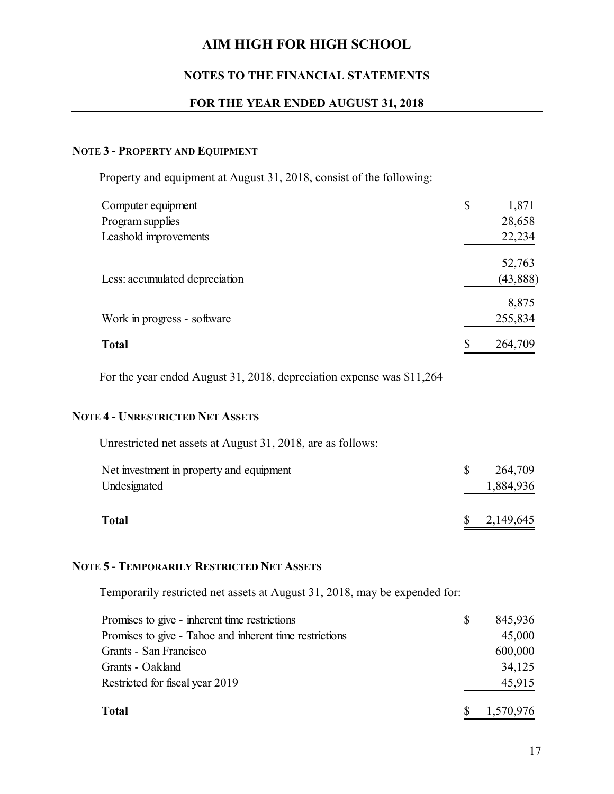## **NOTES TO THE FINANCIAL STATEMENTS**

## **FOR THE YEAR ENDED AUGUST 31, 2018**

# **NOTE 3 - PROPERTY AND EQUIPMENT**

Property and equipment at August 31, 2018, consist of the following:

| Computer equipment             | \$<br>1,871   |
|--------------------------------|---------------|
| Program supplies               | 28,658        |
| Leashold improvements          | 22,234        |
|                                | 52,763        |
| Less: accumulated depreciation | (43, 888)     |
|                                | 8,875         |
| Work in progress - software    | 255,834       |
| <b>Total</b>                   | \$<br>264,709 |

For the year ended August 31, 2018, depreciation expense was \$11,264

#### **NOTE 4 - UNRESTRICTED NET ASSETS**

| <b>Total</b>                                                | 2,149,645            |
|-------------------------------------------------------------|----------------------|
| Net investment in property and equipment<br>Undesignated    | 264,709<br>1,884,936 |
| Unrestricted net assets at August 31, 2018, are as follows: |                      |

#### **NOTE 5 - TEMPORARILY RESTRICTED NET ASSETS**

Temporarily restricted net assets at August 31, 2018, may be expended for:

| Promises to give - inherent time restrictions           | 845,936   |
|---------------------------------------------------------|-----------|
| Promises to give - Tahoe and inherent time restrictions | 45,000    |
| Grants - San Francisco                                  | 600,000   |
| Grants - Oakland                                        | 34,125    |
| Restricted for fiscal year 2019                         | 45,915    |
| <b>Total</b>                                            | 1,570,976 |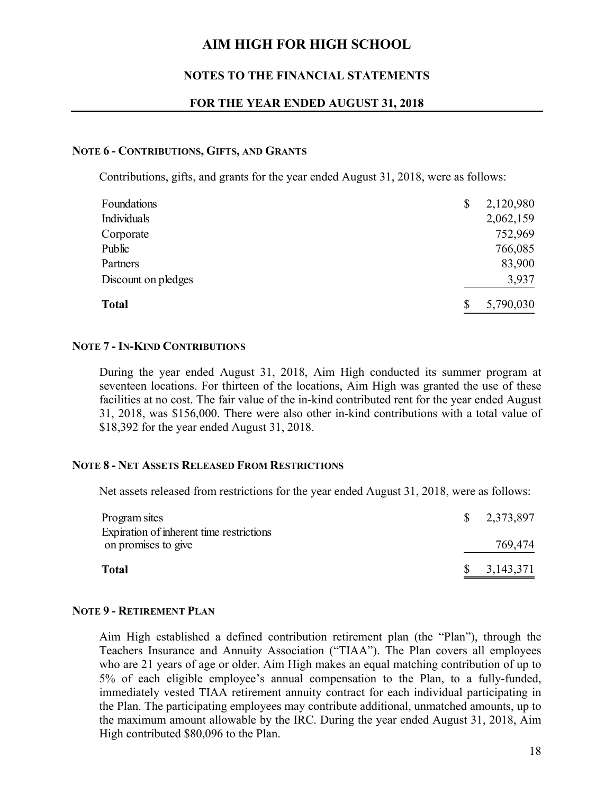### **NOTES TO THE FINANCIAL STATEMENTS**

#### **FOR THE YEAR ENDED AUGUST 31, 2018**

### **NOTE 6 - CONTRIBUTIONS, GIFTS, AND GRANTS**

Contributions, gifts, and grants for the year ended August 31, 2018, were as follows:

| Foundations         | 2,120,980 |
|---------------------|-----------|
| Individuals         | 2,062,159 |
| Corporate           | 752,969   |
| Public              | 766,085   |
| Partners            | 83,900    |
| Discount on pledges | 3,937     |
| <b>Total</b>        | 5,790,030 |

#### **NOTE 7 - IN-KIND CONTRIBUTIONS**

During the year ended August 31, 2018, Aim High conducted its summer program at seventeen locations. For thirteen of the locations, Aim High was granted the use of these facilities at no cost. The fair value of the in-kind contributed rent for the year ended August 31, 2018, was \$156,000. There were also other in-kind contributions with a total value of \$18,392 for the year ended August 31, 2018.

#### **NOTE 8 - NET ASSETS RELEASED FROM RESTRICTIONS**

Net assets released from restrictions for the year ended August 31, 2018, were as follows:

| Program sites                                                   | $\frac{1}{2}$ , 2,373,897 |
|-----------------------------------------------------------------|---------------------------|
| Expiration of inherent time restrictions<br>on promises to give | 769,474                   |
| <b>Total</b>                                                    | $\$\,3,143,371$           |

#### **NOTE 9 - RETIREMENT PLAN**

Aim High established a defined contribution retirement plan (the "Plan"), through the Teachers Insurance and Annuity Association ("TIAA"). The Plan covers all employees who are 21 years of age or older. Aim High makes an equal matching contribution of up to 5% of each eligible employee's annual compensation to the Plan, to a fully-funded, immediately vested TIAA retirement annuity contract for each individual participating in the Plan. The participating employees may contribute additional, unmatched amounts, up to the maximum amount allowable by the IRC. During the year ended August 31, 2018, Aim High contributed \$80,096 to the Plan.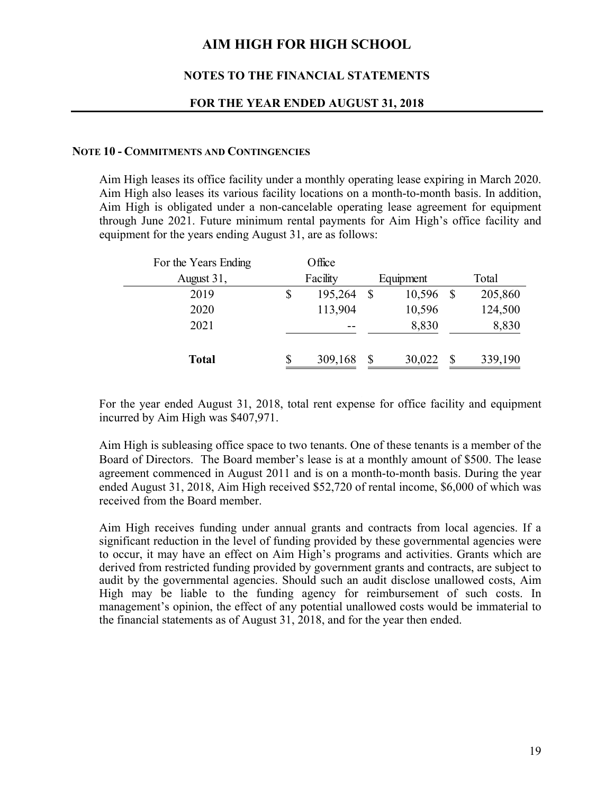### **NOTES TO THE FINANCIAL STATEMENTS**

#### **FOR THE YEAR ENDED AUGUST 31, 2018**

#### **NOTE 10 - COMMITMENTS AND CONTINGENCIES**

 Aim High leases its office facility under a monthly operating lease expiring in March 2020. Aim High also leases its various facility locations on a month-to-month basis. In addition, Aim High is obligated under a non-cancelable operating lease agreement for equipment through June 2021. Future minimum rental payments for Aim High's office facility and equipment for the years ending August 31, are as follows:

| For the Years Ending | Office        |              |           |   |         |
|----------------------|---------------|--------------|-----------|---|---------|
| August 31,           | Facility      |              | Equipment |   | Total   |
| 2019                 | \$<br>195,264 | $\mathbb{S}$ | 10,596    |   | 205,860 |
| 2020                 | 113,904       |              | 10,596    |   | 124,500 |
| 2021                 |               |              | 8,830     |   | 8,830   |
|                      |               |              |           |   |         |
| <b>Total</b>         | 309,168       |              | 30,022    | S | 339,190 |
|                      |               |              |           |   |         |

For the year ended August 31, 2018, total rent expense for office facility and equipment incurred by Aim High was \$407,971.

 Aim High is subleasing office space to two tenants. One of these tenants is a member of the Board of Directors. The Board member's lease is at a monthly amount of \$500. The lease agreement commenced in August 2011 and is on a month-to-month basis. During the year ended August 31, 2018, Aim High received \$52,720 of rental income, \$6,000 of which was received from the Board member.

Aim High receives funding under annual grants and contracts from local agencies. If a significant reduction in the level of funding provided by these governmental agencies were to occur, it may have an effect on Aim High's programs and activities. Grants which are derived from restricted funding provided by government grants and contracts, are subject to audit by the governmental agencies. Should such an audit disclose unallowed costs, Aim High may be liable to the funding agency for reimbursement of such costs. In management's opinion, the effect of any potential unallowed costs would be immaterial to the financial statements as of August 31, 2018, and for the year then ended.